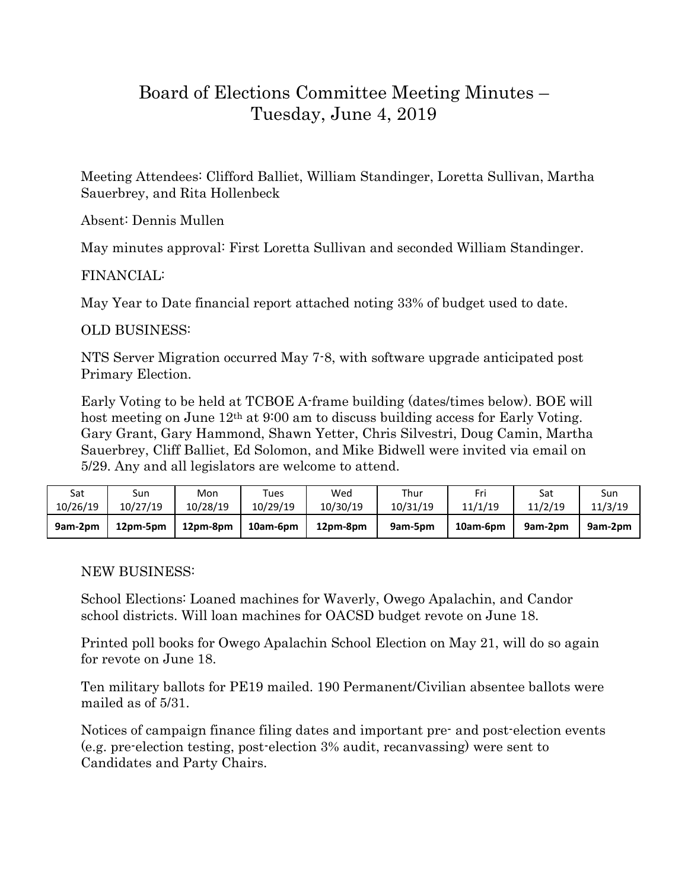## Board of Elections Committee Meeting Minutes – Tuesday, June 4, 2019

Meeting Attendees: Clifford Balliet, William Standinger, Loretta Sullivan, Martha Sauerbrey, and Rita Hollenbeck

Absent: Dennis Mullen

May minutes approval: First Loretta Sullivan and seconded William Standinger.

## FINANCIAL:

May Year to Date financial report attached noting 33% of budget used to date.

## OLD BUSINESS:

NTS Server Migration occurred May 7-8, with software upgrade anticipated post Primary Election.

Early Voting to be held at TCBOE A-frame building (dates/times below). BOE will host meeting on June 12<sup>th</sup> at 9:00 am to discuss building access for Early Voting. Gary Grant, Gary Hammond, Shawn Yetter, Chris Silvestri, Doug Camin, Martha Sauerbrey, Cliff Balliet, Ed Solomon, and Mike Bidwell were invited via email on 5/29. Any and all legislators are welcome to attend.

| Sat      | Sun      | Mon      | Tues     | Wed      | Thur     | Fri      | Sat     | Sun     |
|----------|----------|----------|----------|----------|----------|----------|---------|---------|
| 10/26/19 | 10/27/19 | 10/28/19 | 10/29/19 | 10/30/19 | 10/31/19 | 11/1/19  | 11/2/19 | 11/3/19 |
| 9am-2pm  | 12pm-5pm | 12pm-8pm | 10am-6pm | 12pm-8pm | 9am-5pm  | 10am-6pm | 9am-2pm | 9am-2pm |

NEW BUSINESS:

School Elections: Loaned machines for Waverly, Owego Apalachin, and Candor school districts. Will loan machines for OACSD budget revote on June 18.

Printed poll books for Owego Apalachin School Election on May 21, will do so again for revote on June 18.

Ten military ballots for PE19 mailed. 190 Permanent/Civilian absentee ballots were mailed as of 5/31.

Notices of campaign finance filing dates and important pre- and post-election events (e.g. pre-election testing, post-election 3% audit, recanvassing) were sent to Candidates and Party Chairs.